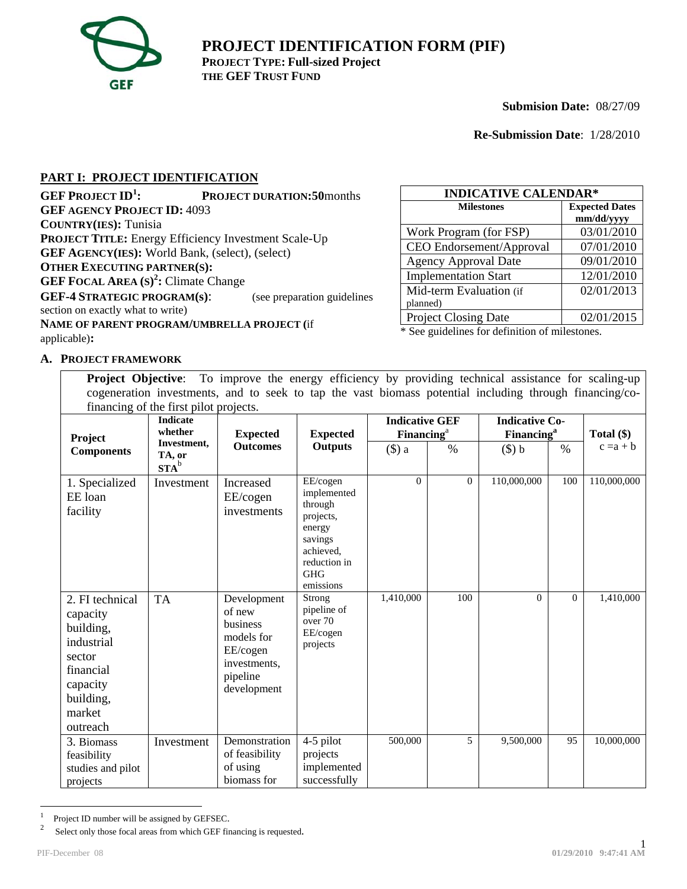

**PROJECT IDENTIFICATION FORM (PIF) PROJECT TYPE: Full-sized Project THE GEF TRUST FUND**

**Submision Date:** 08/27/09

**Re-Submission Date**: 1/28/2010

## **PART I: PROJECT IDENTIFICATION**

| <b>GEF PROJECT ID<sup>1</sup></b> :                         | <b>PROJECT DURATION:50</b> months |  |  |  |  |  |
|-------------------------------------------------------------|-----------------------------------|--|--|--|--|--|
| <b>GEF AGENCY PROJECT ID: 4093</b>                          |                                   |  |  |  |  |  |
| <b>COUNTRY(IES): Tunisia</b>                                |                                   |  |  |  |  |  |
| <b>PROJECT TITLE:</b> Energy Efficiency Investment Scale-Up |                                   |  |  |  |  |  |
| <b>GEF AGENCY(IES): World Bank, (select), (select)</b>      |                                   |  |  |  |  |  |
| <b>OTHER EXECUTING PARTNER(S):</b>                          |                                   |  |  |  |  |  |
| <b>GEF FOCAL AREA</b> $(S)^2$ : Climate Change              |                                   |  |  |  |  |  |
| <b>GEF-4 STRATEGIC PROGRAM(s):</b>                          | (see preparation guidelines       |  |  |  |  |  |
| section on exactly what to write)                           |                                   |  |  |  |  |  |
| NAME OF PARENT PROGRAM/UMBRELLA PROJECT (if                 |                                   |  |  |  |  |  |
| applicable):                                                |                                   |  |  |  |  |  |

| <b>INDICATIVE CALENDAR*</b> |                                     |  |  |  |  |
|-----------------------------|-------------------------------------|--|--|--|--|
| <b>Milestones</b>           | <b>Expected Dates</b><br>mm/dd/yyyy |  |  |  |  |
| Work Program (for FSP)      | 03/01/2010                          |  |  |  |  |
| CEO Endorsement/Approval    | 07/01/2010                          |  |  |  |  |
| <b>Agency Approval Date</b> | 09/01/2010                          |  |  |  |  |
| <b>Implementation Start</b> | 12/01/2010                          |  |  |  |  |
| Mid-term Evaluation (if     | 02/01/2013                          |  |  |  |  |
| planned)                    |                                     |  |  |  |  |
| <b>Project Closing Date</b> | 02/01/2015                          |  |  |  |  |

\* See guidelines for definition of milestones.

#### **A. PROJECT FRAMEWORK**

**Project Objective**: To improve the energy efficiency by providing technical assistance for scaling-up cogeneration investments, and to seek to tap the vast biomass potential including through financing/cofinancing of the first pilot projects.

|                                                                                                                              | maneing of the mot property.<br><b>Indicate</b><br>whether | <b>Expected</b>                                                                                        | <b>Expected</b>                                                                                                              | <b>Indicative GEF</b><br><b>Financing</b> <sup>a</sup> |          | <b>Indicative Co-</b><br><b>Financing</b> <sup>a</sup> |          | Total $(\$)$ |
|------------------------------------------------------------------------------------------------------------------------------|------------------------------------------------------------|--------------------------------------------------------------------------------------------------------|------------------------------------------------------------------------------------------------------------------------------|--------------------------------------------------------|----------|--------------------------------------------------------|----------|--------------|
| Project<br><b>Components</b>                                                                                                 | Investment,<br>TA, or<br>$STA^b$                           | <b>Outcomes</b>                                                                                        | <b>Outputs</b>                                                                                                               | $($ \$) a                                              | $\%$     | $(\$) b$                                               | $\%$     | $c = a + b$  |
| 1. Specialized<br>EE loan<br>facility                                                                                        | Investment                                                 | Increased<br>EE/cogen<br>investments                                                                   | EE/cogen<br>implemented<br>through<br>projects,<br>energy<br>savings<br>achieved,<br>reduction in<br><b>GHG</b><br>emissions | $\Omega$                                               | $\Omega$ | 110,000,000                                            | 100      | 110,000,000  |
| 2. FI technical<br>capacity<br>building,<br>industrial<br>sector<br>financial<br>capacity<br>building,<br>market<br>outreach | <b>TA</b>                                                  | Development<br>of new<br>business<br>models for<br>EE/cogen<br>investments,<br>pipeline<br>development | Strong<br>pipeline of<br>over 70<br>EE/cogen<br>projects                                                                     | 1,410,000                                              | 100      | $\Omega$                                               | $\Omega$ | 1,410,000    |
| 3. Biomass<br>feasibility<br>studies and pilot<br>projects                                                                   | Investment                                                 | Demonstration<br>of feasibility<br>of using<br>biomass for                                             | 4-5 pilot<br>projects<br>implemented<br>successfully                                                                         | 500,000                                                | 5        | 9,500,000                                              | 95       | 10,000,000   |

 $\frac{1}{1}$  $\frac{1}{2}$  Project ID number will be assigned by GEFSEC.<br>Select only those focal areas from which GEF fin

Select only those focal areas from which GEF financing is requested.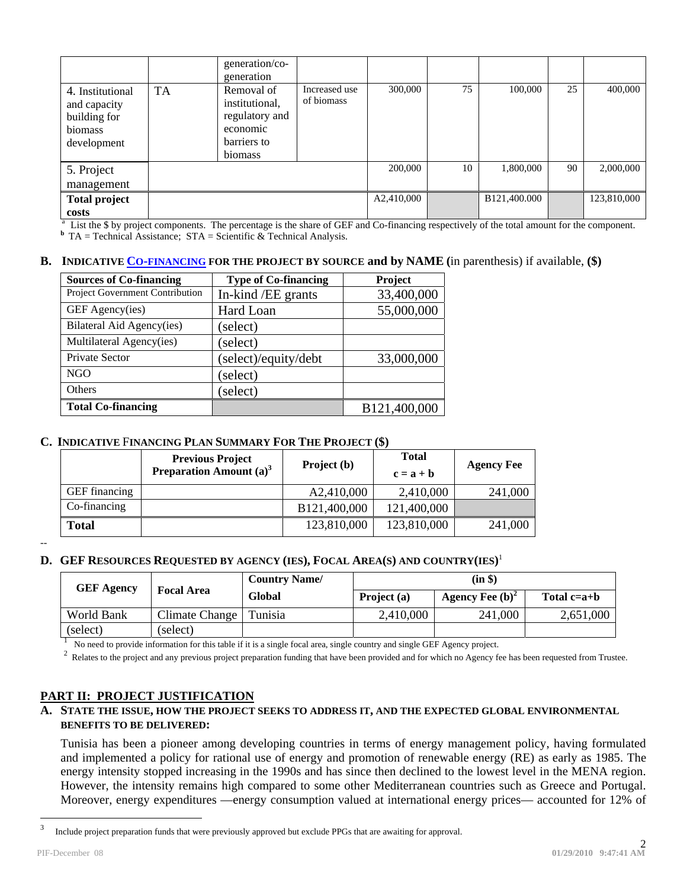|                                                                            |           | generation/co-<br>generation                                                         |                             |            |    |              |    |             |
|----------------------------------------------------------------------------|-----------|--------------------------------------------------------------------------------------|-----------------------------|------------|----|--------------|----|-------------|
| 4. Institutional<br>and capacity<br>building for<br>biomass<br>development | <b>TA</b> | Removal of<br>institutional.<br>regulatory and<br>economic<br>barriers to<br>biomass | Increased use<br>of biomass | 300,000    | 75 | 100,000      | 25 | 400,000     |
| 5. Project                                                                 |           |                                                                                      |                             | 200,000    | 10 | 1,800,000    | 90 | 2,000,000   |
| management                                                                 |           |                                                                                      |                             |            |    |              |    |             |
| <b>Total project</b>                                                       |           |                                                                                      |                             | A2,410,000 |    | B121,400.000 |    | 123,810,000 |
| costs                                                                      |           |                                                                                      |                             |            |    |              |    |             |

<sup>a</sup> List the \$ by project components. The percentage is the share of GEF and Co-financing respectively of the total amount for the component.

**b** TA = Technical Assistance;  $STA = Scientific & Technical Analysis$ .

#### **B. INDICATIVE CO-FINANCING FOR THE PROJECT BY SOURCE and by NAME (**in parenthesis) if available, **(\$)**

| <b>Sources of Co-financing</b>  | <b>Type of Co-financing</b> | Project      |
|---------------------------------|-----------------------------|--------------|
| Project Government Contribution | In-kind / EE grants         | 33,400,000   |
| GEF Agency(ies)                 | Hard Loan                   | 55,000,000   |
| Bilateral Aid Agency(ies)       | (select)                    |              |
| Multilateral Agency(ies)        | (select)                    |              |
| Private Sector                  | (select)/equity/debt        | 33,000,000   |
| <b>NGO</b>                      | (select)                    |              |
| <b>Others</b>                   | (select)                    |              |
| <b>Total Co-financing</b>       |                             | B121,400,000 |

## **C. INDICATIVE** F**INANCING PLAN SUMMARY FOR THE PROJECT (\$)**

|                      | <b>Previous Project</b><br><b>Preparation Amount</b> $(a)^3$ | Project (b)  | <b>Total</b><br>$c = a + b$ | <b>Agency Fee</b> |
|----------------------|--------------------------------------------------------------|--------------|-----------------------------|-------------------|
| <b>GEF</b> financing |                                                              | A2,410,000   | 2,410,000                   | 241,000           |
| Co-financing         |                                                              | B121,400,000 | 121,400,000                 |                   |
| <b>Total</b>         |                                                              | 123,810,000  | 123,810,000                 | 241,000           |

--

## **D. GEF RESOURCES REQUESTED BY AGENCY (IES), FOCAL AREA(S) AND COUNTRY(IES)** 1

| <b>GEF Agency</b> | <b>Focal Area</b> | <b>Country Name/</b> | (in \$)     |                    |               |  |
|-------------------|-------------------|----------------------|-------------|--------------------|---------------|--|
|                   |                   | Global               | Project (a) | Agency Fee $(b)^2$ | Total $c=a+b$ |  |
| World Bank        | Climate Change    | Tunisia              | 2,410,000   | 241,000            | 2,651,000     |  |
| (select)          | (select)          |                      |             |                    |               |  |

 $\frac{1}{2}$  No need to provide information for this table if it is a single focal area, single country and single GEF Agency project.<br>
<sup>2</sup> Relates to the project and any previous project preparation funding that have been p

## **PART II: PROJECT JUSTIFICATION**

## **A. STATE THE ISSUE, HOW THE PROJECT SEEKS TO ADDRESS IT, AND THE EXPECTED GLOBAL ENVIRONMENTAL BENEFITS TO BE DELIVERED:**

Tunisia has been a pioneer among developing countries in terms of energy management policy, having formulated and implemented a policy for rational use of energy and promotion of renewable energy (RE) as early as 1985. The energy intensity stopped increasing in the 1990s and has since then declined to the lowest level in the MENA region. However, the intensity remains high compared to some other Mediterranean countries such as Greece and Portugal. Moreover, energy expenditures —energy consumption valued at international energy prices— accounted for 12% of

<sup>&</sup>lt;sup>2</sup><br>3 Include project preparation funds that were previously approved but exclude PPGs that are awaiting for approval.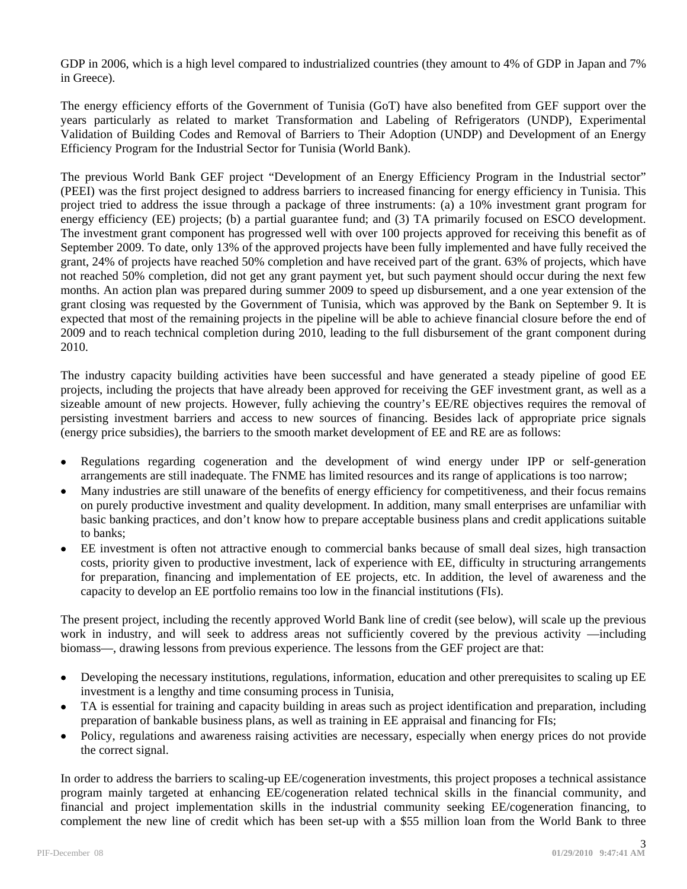GDP in 2006, which is a high level compared to industrialized countries (they amount to 4% of GDP in Japan and 7% in Greece).

The energy efficiency efforts of the Government of Tunisia (GoT) have also benefited from GEF support over the years particularly as related to market Transformation and Labeling of Refrigerators (UNDP), Experimental Validation of Building Codes and Removal of Barriers to Their Adoption (UNDP) and Development of an Energy Efficiency Program for the Industrial Sector for Tunisia (World Bank).

The previous World Bank GEF project "Development of an Energy Efficiency Program in the Industrial sector" (PEEI) was the first project designed to address barriers to increased financing for energy efficiency in Tunisia. This project tried to address the issue through a package of three instruments: (a) a 10% investment grant program for energy efficiency (EE) projects; (b) a partial guarantee fund; and (3) TA primarily focused on ESCO development. The investment grant component has progressed well with over 100 projects approved for receiving this benefit as of September 2009. To date, only 13% of the approved projects have been fully implemented and have fully received the grant, 24% of projects have reached 50% completion and have received part of the grant. 63% of projects, which have not reached 50% completion, did not get any grant payment yet, but such payment should occur during the next few months. An action plan was prepared during summer 2009 to speed up disbursement, and a one year extension of the grant closing was requested by the Government of Tunisia, which was approved by the Bank on September 9. It is expected that most of the remaining projects in the pipeline will be able to achieve financial closure before the end of 2009 and to reach technical completion during 2010, leading to the full disbursement of the grant component during 2010.

The industry capacity building activities have been successful and have generated a steady pipeline of good EE projects, including the projects that have already been approved for receiving the GEF investment grant, as well as a sizeable amount of new projects. However, fully achieving the country's EE/RE objectives requires the removal of persisting investment barriers and access to new sources of financing. Besides lack of appropriate price signals (energy price subsidies), the barriers to the smooth market development of EE and RE are as follows:

- Regulations regarding cogeneration and the development of wind energy under IPP or self-generation arrangements are still inadequate. The FNME has limited resources and its range of applications is too narrow;
- Many industries are still unaware of the benefits of energy efficiency for competitiveness, and their focus remains on purely productive investment and quality development. In addition, many small enterprises are unfamiliar with basic banking practices, and don't know how to prepare acceptable business plans and credit applications suitable to banks;
- EE investment is often not attractive enough to commercial banks because of small deal sizes, high transaction costs, priority given to productive investment, lack of experience with EE, difficulty in structuring arrangements for preparation, financing and implementation of EE projects, etc. In addition, the level of awareness and the capacity to develop an EE portfolio remains too low in the financial institutions (FIs).

The present project, including the recently approved World Bank line of credit (see below), will scale up the previous work in industry, and will seek to address areas not sufficiently covered by the previous activity —including biomass—, drawing lessons from previous experience. The lessons from the GEF project are that:

- Developing the necessary institutions, regulations, information, education and other prerequisites to scaling up EE investment is a lengthy and time consuming process in Tunisia,
- TA is essential for training and capacity building in areas such as project identification and preparation, including preparation of bankable business plans, as well as training in EE appraisal and financing for FIs;
- Policy, regulations and awareness raising activities are necessary, especially when energy prices do not provide the correct signal.

In order to address the barriers to scaling-up EE/cogeneration investments, this project proposes a technical assistance program mainly targeted at enhancing EE/cogeneration related technical skills in the financial community, and financial and project implementation skills in the industrial community seeking EE/cogeneration financing, to complement the new line of credit which has been set-up with a \$55 million loan from the World Bank to three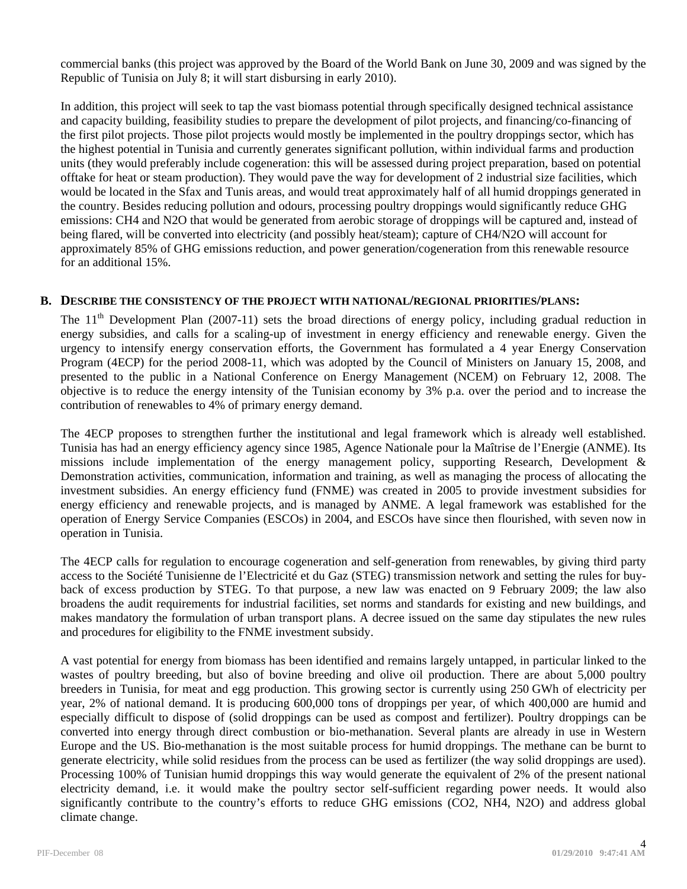commercial banks (this project was approved by the Board of the World Bank on June 30, 2009 and was signed by the Republic of Tunisia on July 8; it will start disbursing in early 2010).

In addition, this project will seek to tap the vast biomass potential through specifically designed technical assistance and capacity building, feasibility studies to prepare the development of pilot projects, and financing/co-financing of the first pilot projects. Those pilot projects would mostly be implemented in the poultry droppings sector, which has the highest potential in Tunisia and currently generates significant pollution, within individual farms and production units (they would preferably include cogeneration: this will be assessed during project preparation, based on potential offtake for heat or steam production). They would pave the way for development of 2 industrial size facilities, which would be located in the Sfax and Tunis areas, and would treat approximately half of all humid droppings generated in the country. Besides reducing pollution and odours, processing poultry droppings would significantly reduce GHG emissions: CH4 and N2O that would be generated from aerobic storage of droppings will be captured and, instead of being flared, will be converted into electricity (and possibly heat/steam); capture of CH4/N2O will account for approximately 85% of GHG emissions reduction, and power generation/cogeneration from this renewable resource for an additional 15%.

## **B. DESCRIBE THE CONSISTENCY OF THE PROJECT WITH NATIONAL/REGIONAL PRIORITIES/PLANS:**

The 11<sup>th</sup> Development Plan (2007-11) sets the broad directions of energy policy, including gradual reduction in energy subsidies, and calls for a scaling-up of investment in energy efficiency and renewable energy. Given the urgency to intensify energy conservation efforts, the Government has formulated a 4 year Energy Conservation Program (4ECP) for the period 2008-11, which was adopted by the Council of Ministers on January 15, 2008, and presented to the public in a National Conference on Energy Management (NCEM) on February 12, 2008. The objective is to reduce the energy intensity of the Tunisian economy by 3% p.a. over the period and to increase the contribution of renewables to 4% of primary energy demand.

The 4ECP proposes to strengthen further the institutional and legal framework which is already well established. Tunisia has had an energy efficiency agency since 1985, Agence Nationale pour la Maîtrise de l'Energie (ANME). Its missions include implementation of the energy management policy, supporting Research, Development & Demonstration activities, communication, information and training, as well as managing the process of allocating the investment subsidies. An energy efficiency fund (FNME) was created in 2005 to provide investment subsidies for energy efficiency and renewable projects, and is managed by ANME. A legal framework was established for the operation of Energy Service Companies (ESCOs) in 2004, and ESCOs have since then flourished, with seven now in operation in Tunisia.

The 4ECP calls for regulation to encourage cogeneration and self-generation from renewables, by giving third party access to the Société Tunisienne de l'Electricité et du Gaz (STEG) transmission network and setting the rules for buyback of excess production by STEG. To that purpose, a new law was enacted on 9 February 2009; the law also broadens the audit requirements for industrial facilities, set norms and standards for existing and new buildings, and makes mandatory the formulation of urban transport plans. A decree issued on the same day stipulates the new rules and procedures for eligibility to the FNME investment subsidy.

A vast potential for energy from biomass has been identified and remains largely untapped, in particular linked to the wastes of poultry breeding, but also of bovine breeding and olive oil production. There are about 5,000 poultry breeders in Tunisia, for meat and egg production. This growing sector is currently using 250 GWh of electricity per year, 2% of national demand. It is producing 600,000 tons of droppings per year, of which 400,000 are humid and especially difficult to dispose of (solid droppings can be used as compost and fertilizer). Poultry droppings can be converted into energy through direct combustion or bio-methanation. Several plants are already in use in Western Europe and the US. Bio-methanation is the most suitable process for humid droppings. The methane can be burnt to generate electricity, while solid residues from the process can be used as fertilizer (the way solid droppings are used). Processing 100% of Tunisian humid droppings this way would generate the equivalent of 2% of the present national electricity demand, i.e. it would make the poultry sector self-sufficient regarding power needs. It would also significantly contribute to the country's efforts to reduce GHG emissions (CO2, NH4, N2O) and address global climate change.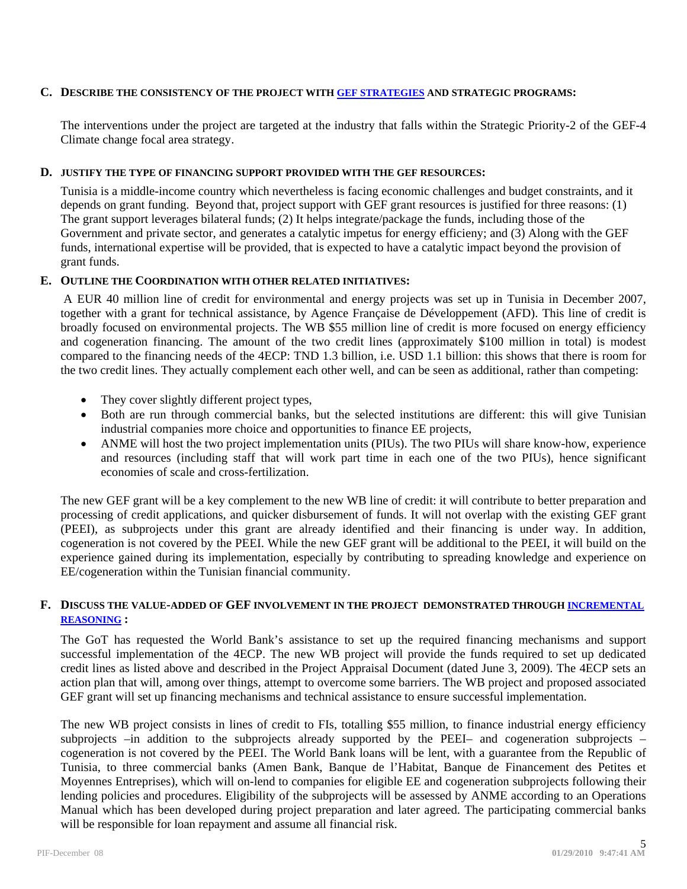### **C. DESCRIBE THE CONSISTENCY OF THE PROJECT WITH GEF STRATEGIES AND STRATEGIC PROGRAMS:**

The interventions under the project are targeted at the industry that falls within the Strategic Priority-2 of the GEF-4 Climate change focal area strategy.

#### **D. JUSTIFY THE TYPE OF FINANCING SUPPORT PROVIDED WITH THE GEF RESOURCES:**

Tunisia is a middle-income country which nevertheless is facing economic challenges and budget constraints, and it depends on grant funding. Beyond that, project support with GEF grant resources is justified for three reasons: (1) The grant support leverages bilateral funds; (2) It helps integrate/package the funds, including those of the Government and private sector, and generates a catalytic impetus for energy efficieny; and (3) Along with the GEF funds, international expertise will be provided, that is expected to have a catalytic impact beyond the provision of grant funds.

## **E. OUTLINE THE COORDINATION WITH OTHER RELATED INITIATIVES:**

 A EUR 40 million line of credit for environmental and energy projects was set up in Tunisia in December 2007, together with a grant for technical assistance, by Agence Française de Développement (AFD). This line of credit is broadly focused on environmental projects. The WB \$55 million line of credit is more focused on energy efficiency and cogeneration financing. The amount of the two credit lines (approximately \$100 million in total) is modest compared to the financing needs of the 4ECP: TND 1.3 billion, i.e. USD 1.1 billion: this shows that there is room for the two credit lines. They actually complement each other well, and can be seen as additional, rather than competing:

- They cover slightly different project types,
- Both are run through commercial banks, but the selected institutions are different: this will give Tunisian industrial companies more choice and opportunities to finance EE projects,
- ANME will host the two project implementation units (PIUs). The two PIUs will share know-how, experience and resources (including staff that will work part time in each one of the two PIUs), hence significant economies of scale and cross-fertilization.

The new GEF grant will be a key complement to the new WB line of credit: it will contribute to better preparation and processing of credit applications, and quicker disbursement of funds. It will not overlap with the existing GEF grant (PEEI), as subprojects under this grant are already identified and their financing is under way. In addition, cogeneration is not covered by the PEEI. While the new GEF grant will be additional to the PEEI, it will build on the experience gained during its implementation, especially by contributing to spreading knowledge and experience on EE/cogeneration within the Tunisian financial community.

#### **F. DISCUSS THE VALUE-ADDED OF GEF INVOLVEMENT IN THE PROJECT DEMONSTRATED THROUGH INCREMENTAL REASONING :**

The GoT has requested the World Bank's assistance to set up the required financing mechanisms and support successful implementation of the 4ECP. The new WB project will provide the funds required to set up dedicated credit lines as listed above and described in the Project Appraisal Document (dated June 3, 2009). The 4ECP sets an action plan that will, among over things, attempt to overcome some barriers. The WB project and proposed associated GEF grant will set up financing mechanisms and technical assistance to ensure successful implementation.

The new WB project consists in lines of credit to FIs, totalling \$55 million, to finance industrial energy efficiency subprojects –in addition to the subprojects already supported by the PEEI– and cogeneration subprojects – cogeneration is not covered by the PEEI. The World Bank loans will be lent, with a guarantee from the Republic of Tunisia, to three commercial banks (Amen Bank, Banque de l'Habitat, Banque de Financement des Petites et Moyennes Entreprises), which will on-lend to companies for eligible EE and cogeneration subprojects following their lending policies and procedures. Eligibility of the subprojects will be assessed by ANME according to an Operations Manual which has been developed during project preparation and later agreed. The participating commercial banks will be responsible for loan repayment and assume all financial risk.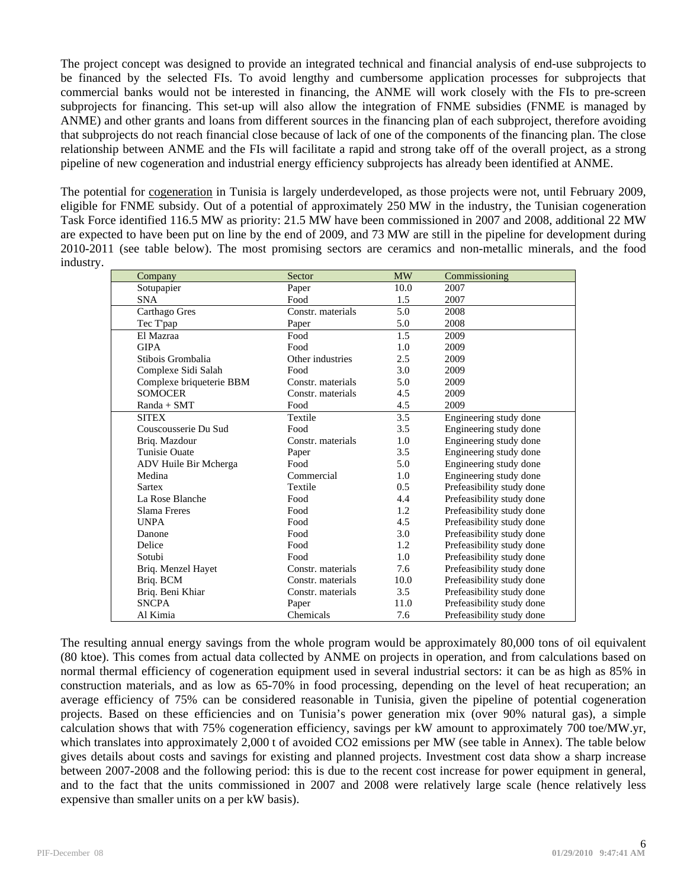The project concept was designed to provide an integrated technical and financial analysis of end-use subprojects to be financed by the selected FIs. To avoid lengthy and cumbersome application processes for subprojects that commercial banks would not be interested in financing, the ANME will work closely with the FIs to pre-screen subprojects for financing. This set-up will also allow the integration of FNME subsidies (FNME is managed by ANME) and other grants and loans from different sources in the financing plan of each subproject, therefore avoiding that subprojects do not reach financial close because of lack of one of the components of the financing plan. The close relationship between ANME and the FIs will facilitate a rapid and strong take off of the overall project, as a strong pipeline of new cogeneration and industrial energy efficiency subprojects has already been identified at ANME.

The potential for cogeneration in Tunisia is largely underdeveloped, as those projects were not, until February 2009, eligible for FNME subsidy. Out of a potential of approximately 250 MW in the industry, the Tunisian cogeneration Task Force identified 116.5 MW as priority: 21.5 MW have been commissioned in 2007 and 2008, additional 22 MW are expected to have been put on line by the end of 2009, and 73 MW are still in the pipeline for development during 2010-2011 (see table below). The most promising sectors are ceramics and non-metallic minerals, and the food industry.

| Company                  | Sector            | <b>MW</b>     | Commissioning             |
|--------------------------|-------------------|---------------|---------------------------|
| Sotupapier               | Paper             | 10.0          | 2007                      |
| <b>SNA</b>               | Food              | 1.5           | 2007                      |
| Carthago Gres            | Constr. materials | 5.0           | 2008                      |
| Tec T'pap                | Paper             | 5.0           | 2008                      |
| El Mazraa                | Food              | 1.5           | 2009                      |
| <b>GIPA</b>              | Food              | 1.0           | 2009                      |
| Stibois Grombalia        | Other industries  | 2.5           | 2009                      |
| Complexe Sidi Salah      | Food              | 3.0           | 2009                      |
| Complexe briqueterie BBM | Constr. materials | 5.0           | 2009                      |
| <b>SOMOCER</b>           | Constr. materials | 4.5           | 2009                      |
| $Randa + SMT$            | Food              | 4.5           | 2009                      |
| <b>SITEX</b>             | Textile           | 3.5           | Engineering study done    |
| Couscousserie Du Sud     | Food              | 3.5           | Engineering study done    |
| Briq. Mazdour            | Constr. materials | 1.0           | Engineering study done    |
| <b>Tunisie Ouate</b>     | Paper             | 3.5           | Engineering study done    |
| ADV Huile Bir Mcherga    | Food              | 5.0           | Engineering study done    |
| Medina                   | Commercial        | 1.0           | Engineering study done    |
| <b>Sartex</b>            | Textile           | $0.5^{\circ}$ | Prefeasibility study done |
| La Rose Blanche          | Food              | 4.4           | Prefeasibility study done |
| Slama Freres             | Food              | 1.2           | Prefeasibility study done |
| <b>UNPA</b>              | Food              | 4.5           | Prefeasibility study done |
| Danone                   | Food              | 3.0           | Prefeasibility study done |
| Delice                   | Food              | 1.2           | Prefeasibility study done |
| Sotubi                   | Food              | 1.0           | Prefeasibility study done |
| Briq. Menzel Hayet       | Constr. materials | 7.6           | Prefeasibility study done |
| Briq. BCM                | Constr. materials | 10.0          | Prefeasibility study done |
| Briq. Beni Khiar         | Constr. materials | 3.5           | Prefeasibility study done |
| <b>SNCPA</b>             | Paper             | 11.0          | Prefeasibility study done |
| Al Kimia                 | Chemicals         | 7.6           | Prefeasibility study done |

The resulting annual energy savings from the whole program would be approximately 80,000 tons of oil equivalent (80 ktoe). This comes from actual data collected by ANME on projects in operation, and from calculations based on normal thermal efficiency of cogeneration equipment used in several industrial sectors: it can be as high as 85% in construction materials, and as low as 65-70% in food processing, depending on the level of heat recuperation; an average efficiency of 75% can be considered reasonable in Tunisia, given the pipeline of potential cogeneration projects. Based on these efficiencies and on Tunisia's power generation mix (over 90% natural gas), a simple calculation shows that with 75% cogeneration efficiency, savings per kW amount to approximately 700 toe/MW.yr, which translates into approximately 2,000 t of avoided CO2 emissions per MW (see table in Annex). The table below gives details about costs and savings for existing and planned projects. Investment cost data show a sharp increase between 2007-2008 and the following period: this is due to the recent cost increase for power equipment in general, and to the fact that the units commissioned in 2007 and 2008 were relatively large scale (hence relatively less expensive than smaller units on a per kW basis).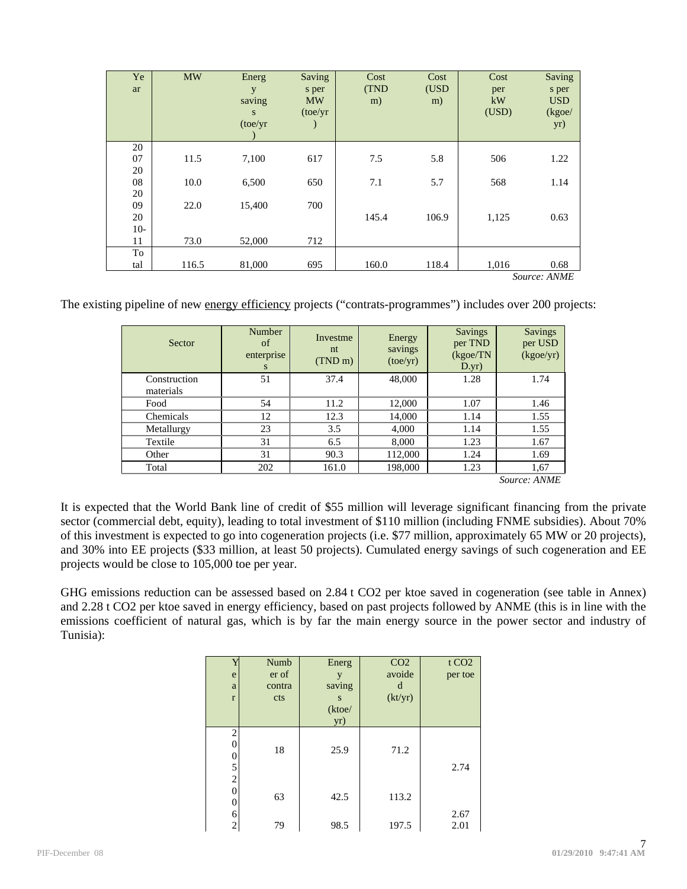| Ye    | <b>MW</b> | Energ    | Saving    | Cost  | Cost  | Cost  | Saving       |
|-------|-----------|----------|-----------|-------|-------|-------|--------------|
| ar    |           | y        | s per     | (TND  | (USD  | per   | s per        |
|       |           | saving   | <b>MW</b> | m)    | m)    | kW    | <b>USD</b>   |
|       |           | S        | (toe/yr)  |       |       | (USD) | (kgoe/       |
|       |           | (toe/yr) |           |       |       |       | yr)          |
|       |           |          |           |       |       |       |              |
| 20    |           |          |           |       |       |       |              |
| 07    | 11.5      | 7,100    | 617       | 7.5   | 5.8   | 506   | 1.22         |
| 20    |           |          |           |       |       |       |              |
| 08    | 10.0      | 6,500    | 650       | 7.1   | 5.7   | 568   | 1.14         |
| 20    |           |          |           |       |       |       |              |
| 09    | 22.0      | 15,400   | 700       |       |       |       |              |
| 20    |           |          |           | 145.4 | 106.9 | 1,125 | 0.63         |
| $10-$ |           |          |           |       |       |       |              |
| 11    | 73.0      | 52,000   | 712       |       |       |       |              |
| To    |           |          |           |       |       |       |              |
| tal   | 116.5     | 81,000   | 695       | 160.0 | 118.4 | 1,016 | 0.68         |
|       |           |          |           |       |       |       | Source: ANME |

The existing pipeline of new energy efficiency projects ("contrats-programmes") includes over 200 projects:

| Sector                    | Number<br>of<br>enterprise<br>S | Investme<br>nt<br>$(TND \, m)$ | Energy<br>savings<br>(toe/yr) | <b>Savings</b><br>per TND<br>(kgoe/TN)<br>D.yr) | <b>Savings</b><br>per USD<br>(kgoe/yr) |
|---------------------------|---------------------------------|--------------------------------|-------------------------------|-------------------------------------------------|----------------------------------------|
| Construction<br>materials | 51                              | 37.4                           | 48,000                        | 1.28                                            | 1.74                                   |
| Food                      | 54                              | 11.2                           | 12,000                        | 1.07                                            | 1.46                                   |
| Chemicals                 | 12                              | 12.3                           | 14,000                        | 1.14                                            | 1.55                                   |
| Metallurgy                | 23                              | 3.5                            | 4,000                         | 1.14                                            | 1.55                                   |
| Textile                   | 31                              | 6.5                            | 8,000                         | 1.23                                            | 1.67                                   |
| Other                     | 31                              | 90.3                           | 112,000                       | 1.24                                            | 1.69                                   |
| Total                     | 202                             | 161.0                          | 198,000                       | 1.23                                            | 1,67                                   |
|                           |                                 |                                |                               |                                                 | Source: ANME                           |

It is expected that the World Bank line of credit of \$55 million will leverage significant financing from the private sector (commercial debt, equity), leading to total investment of \$110 million (including FNME subsidies). About 70% of this investment is expected to go into cogeneration projects (i.e. \$77 million, approximately 65 MW or 20 projects), and 30% into EE projects (\$33 million, at least 50 projects). Cumulated energy savings of such cogeneration and EE projects would be close to 105,000 toe per year.

GHG emissions reduction can be assessed based on 2.84 t CO2 per ktoe saved in cogeneration (see table in Annex) and 2.28 t CO2 per ktoe saved in energy efficiency, based on past projects followed by ANME (this is in line with the emissions coefficient of natural gas, which is by far the main energy source in the power sector and industry of Tunisia):

|                                   | Numb   | Energ  | CO <sub>2</sub> | t CO <sub>2</sub> |
|-----------------------------------|--------|--------|-----------------|-------------------|
| e                                 | er of  | y      | avoide          | per toe           |
| a                                 | contra | saving | d               |                   |
| $\mathbf{r}$                      | cts    | S      | (kt/yr)         |                   |
|                                   |        | (ktoe/ |                 |                   |
|                                   |        | yr)    |                 |                   |
| $\overline{2}$<br>0<br>$\sqrt{5}$ | 18     | 25.9   | 71.2            | 2.74              |
| $\overline{c}$<br>0<br>0          | 63     | 42.5   | 113.2           |                   |
| 6                                 |        |        |                 | 2.67              |
| 2                                 | 79     | 98.5   | 197.5           | 2.01              |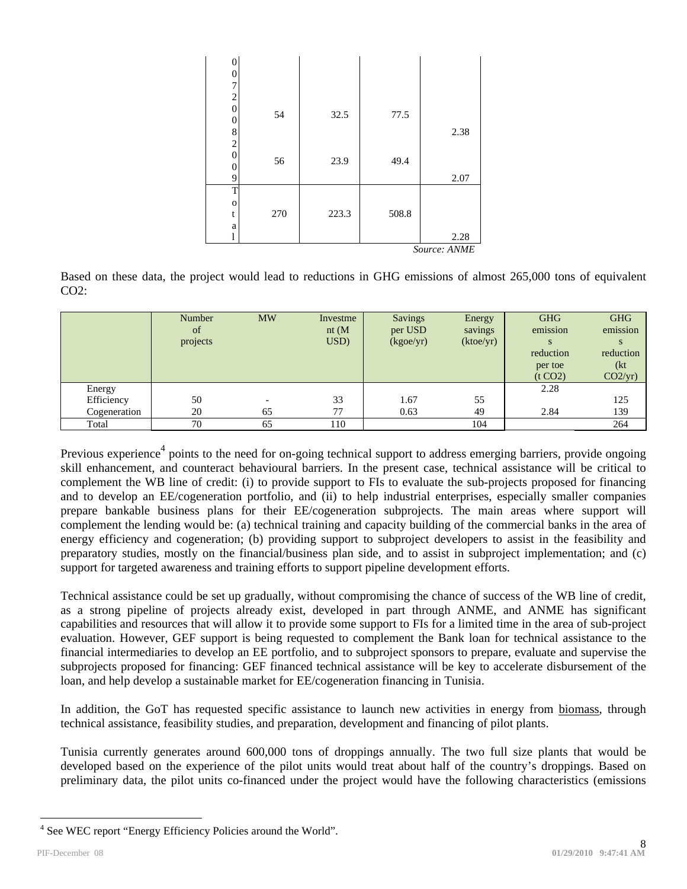| 0                |     |       |        |           |
|------------------|-----|-------|--------|-----------|
| 0                |     |       |        |           |
| 7                |     |       |        |           |
| $\boldsymbol{2}$ |     |       |        |           |
| $\boldsymbol{0}$ |     |       |        |           |
| 0                | 54  | 32.5  | 77.5   |           |
| 8                |     |       |        | 2.38      |
| $\overline{c}$   |     |       |        |           |
| $\overline{0}$   |     |       |        |           |
| 0                | 56  | 23.9  | 49.4   |           |
| 9                |     |       |        | 2.07      |
| T                |     |       |        |           |
| $\mathbf 0$      |     |       |        |           |
| t                | 270 | 223.3 | 508.8  |           |
| a                |     |       |        |           |
|                  |     |       |        | 2.28      |
|                  |     |       | $\sim$ | 1.373.677 |

*Source: ANME* 

Based on these data, the project would lead to reductions in GHG emissions of almost 265,000 tons of equivalent  $CO2$ :

|              | Number<br>of<br>projects | <b>MW</b>                | Investme<br>nt(M)<br>USD) | Savings<br>per USD<br>(kgoe/yr) | Energy<br>savings<br>(ktoe/yr) | <b>GHG</b><br>emission<br>reduction<br>per toe<br>(t CO <sub>2</sub> ) | <b>GHG</b><br>emission<br>reduction<br>(kt<br>CO2/yr) |
|--------------|--------------------------|--------------------------|---------------------------|---------------------------------|--------------------------------|------------------------------------------------------------------------|-------------------------------------------------------|
| Energy       |                          |                          |                           |                                 |                                | 2.28                                                                   |                                                       |
| Efficiency   | 50                       | $\overline{\phantom{0}}$ | 33                        | 1.67                            | 55                             |                                                                        | 125                                                   |
| Cogeneration | 20                       | 65                       | 77                        | 0.63                            | 49                             | 2.84                                                                   | 139                                                   |
| Total        | 70                       | 65                       | 110                       |                                 | 104                            |                                                                        | 264                                                   |

Previous experience<sup>4</sup> points to the need for on-going technical support to address emerging barriers, provide ongoing skill enhancement, and counteract behavioural barriers. In the present case, technical assistance will be critical to complement the WB line of credit: (i) to provide support to FIs to evaluate the sub-projects proposed for financing and to develop an EE/cogeneration portfolio, and (ii) to help industrial enterprises, especially smaller companies prepare bankable business plans for their EE/cogeneration subprojects. The main areas where support will complement the lending would be: (a) technical training and capacity building of the commercial banks in the area of energy efficiency and cogeneration; (b) providing support to subproject developers to assist in the feasibility and preparatory studies, mostly on the financial/business plan side, and to assist in subproject implementation; and (c) support for targeted awareness and training efforts to support pipeline development efforts.

Technical assistance could be set up gradually, without compromising the chance of success of the WB line of credit, as a strong pipeline of projects already exist, developed in part through ANME, and ANME has significant capabilities and resources that will allow it to provide some support to FIs for a limited time in the area of sub-project evaluation. However, GEF support is being requested to complement the Bank loan for technical assistance to the financial intermediaries to develop an EE portfolio, and to subproject sponsors to prepare, evaluate and supervise the subprojects proposed for financing: GEF financed technical assistance will be key to accelerate disbursement of the loan, and help develop a sustainable market for EE/cogeneration financing in Tunisia.

In addition, the GoT has requested specific assistance to launch new activities in energy from biomass, through technical assistance, feasibility studies, and preparation, development and financing of pilot plants.

Tunisia currently generates around 600,000 tons of droppings annually. The two full size plants that would be developed based on the experience of the pilot units would treat about half of the country's droppings. Based on preliminary data, the pilot units co-financed under the project would have the following characteristics (emissions

 $\overline{a}$ 

<sup>&</sup>lt;sup>4</sup> See WEC report "Energy Efficiency Policies around the World".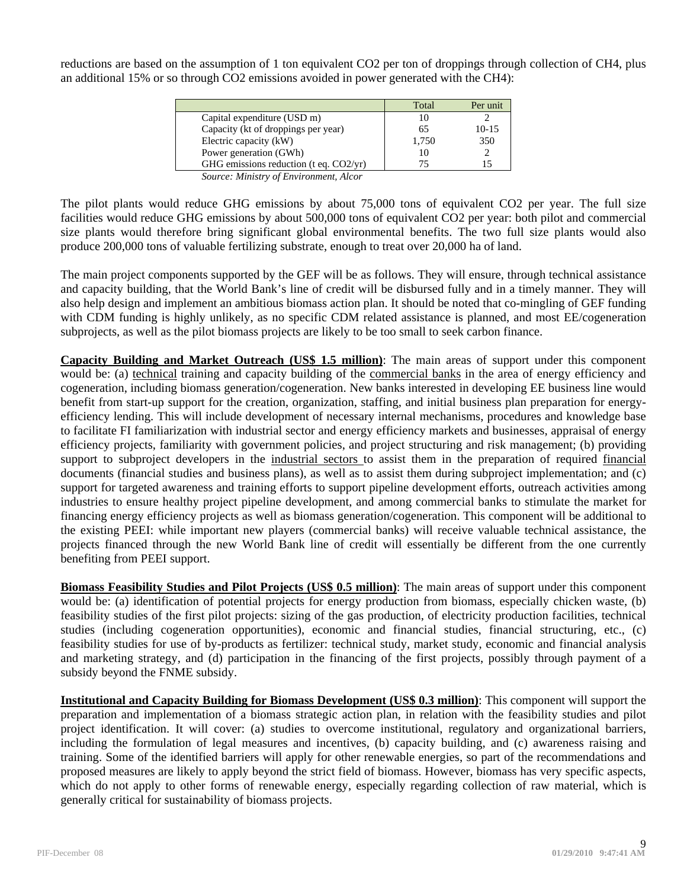reductions are based on the assumption of 1 ton equivalent CO2 per ton of droppings through collection of CH4, plus an additional 15% or so through CO2 emissions avoided in power generated with the CH4):

|                                           | Total | Per unit  |
|-------------------------------------------|-------|-----------|
| Capital expenditure (USD m)               |       |           |
| Capacity (kt of droppings per year)       | 65    | $10 - 15$ |
| Electric capacity (kW)                    | 1,750 | 350       |
| Power generation (GWh)                    | 10    |           |
| GHG emissions reduction (t eq. $CO2/yr$ ) |       |           |

*Source: Ministry of Environment, Alcor* 

The pilot plants would reduce GHG emissions by about 75,000 tons of equivalent CO2 per year. The full size facilities would reduce GHG emissions by about 500,000 tons of equivalent CO2 per year: both pilot and commercial size plants would therefore bring significant global environmental benefits. The two full size plants would also produce 200,000 tons of valuable fertilizing substrate, enough to treat over 20,000 ha of land.

The main project components supported by the GEF will be as follows. They will ensure, through technical assistance and capacity building, that the World Bank's line of credit will be disbursed fully and in a timely manner. They will also help design and implement an ambitious biomass action plan. It should be noted that co-mingling of GEF funding with CDM funding is highly unlikely, as no specific CDM related assistance is planned, and most EE/cogeneration subprojects, as well as the pilot biomass projects are likely to be too small to seek carbon finance.

**Capacity Building and Market Outreach (US\$ 1.5 million)**: The main areas of support under this component would be: (a) technical training and capacity building of the commercial banks in the area of energy efficiency and cogeneration, including biomass generation/cogeneration. New banks interested in developing EE business line would benefit from start-up support for the creation, organization, staffing, and initial business plan preparation for energyefficiency lending. This will include development of necessary internal mechanisms, procedures and knowledge base to facilitate FI familiarization with industrial sector and energy efficiency markets and businesses, appraisal of energy efficiency projects, familiarity with government policies, and project structuring and risk management; (b) providing support to subproject developers in the industrial sectors to assist them in the preparation of required financial documents (financial studies and business plans), as well as to assist them during subproject implementation; and (c) support for targeted awareness and training efforts to support pipeline development efforts, outreach activities among industries to ensure healthy project pipeline development, and among commercial banks to stimulate the market for financing energy efficiency projects as well as biomass generation/cogeneration. This component will be additional to the existing PEEI: while important new players (commercial banks) will receive valuable technical assistance, the projects financed through the new World Bank line of credit will essentially be different from the one currently benefiting from PEEI support.

**Biomass Feasibility Studies and Pilot Projects (US\$ 0.5 million)**: The main areas of support under this component would be: (a) identification of potential projects for energy production from biomass, especially chicken waste, (b) feasibility studies of the first pilot projects: sizing of the gas production, of electricity production facilities, technical studies (including cogeneration opportunities), economic and financial studies, financial structuring, etc., (c) feasibility studies for use of by-products as fertilizer: technical study, market study, economic and financial analysis and marketing strategy, and (d) participation in the financing of the first projects, possibly through payment of a subsidy beyond the FNME subsidy.

**Institutional and Capacity Building for Biomass Development (US\$ 0.3 million)**: This component will support the preparation and implementation of a biomass strategic action plan, in relation with the feasibility studies and pilot project identification. It will cover: (a) studies to overcome institutional, regulatory and organizational barriers, including the formulation of legal measures and incentives, (b) capacity building, and (c) awareness raising and training. Some of the identified barriers will apply for other renewable energies, so part of the recommendations and proposed measures are likely to apply beyond the strict field of biomass. However, biomass has very specific aspects, which do not apply to other forms of renewable energy, especially regarding collection of raw material, which is generally critical for sustainability of biomass projects.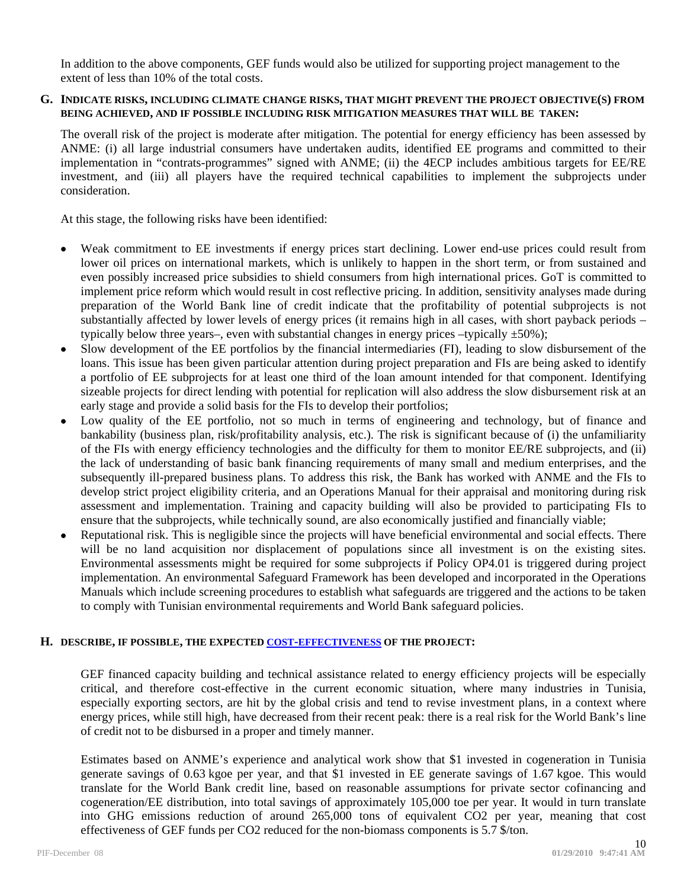In addition to the above components, GEF funds would also be utilized for supporting project management to the extent of less than 10% of the total costs.

#### **G. INDICATE RISKS, INCLUDING CLIMATE CHANGE RISKS, THAT MIGHT PREVENT THE PROJECT OBJECTIVE(S) FROM BEING ACHIEVED, AND IF POSSIBLE INCLUDING RISK MITIGATION MEASURES THAT WILL BE TAKEN:**

The overall risk of the project is moderate after mitigation. The potential for energy efficiency has been assessed by ANME: (i) all large industrial consumers have undertaken audits, identified EE programs and committed to their implementation in "contrats-programmes" signed with ANME; (ii) the 4ECP includes ambitious targets for EE/RE investment, and (iii) all players have the required technical capabilities to implement the subprojects under consideration.

At this stage, the following risks have been identified:

- Weak commitment to EE investments if energy prices start declining. Lower end-use prices could result from lower oil prices on international markets, which is unlikely to happen in the short term, or from sustained and even possibly increased price subsidies to shield consumers from high international prices. GoT is committed to implement price reform which would result in cost reflective pricing. In addition, sensitivity analyses made during preparation of the World Bank line of credit indicate that the profitability of potential subprojects is not substantially affected by lower levels of energy prices (it remains high in all cases, with short payback periods – typically below three years–, even with substantial changes in energy prices –typically  $\pm 50\%$ );
- Slow development of the EE portfolios by the financial intermediaries (FI), leading to slow disbursement of the loans. This issue has been given particular attention during project preparation and FIs are being asked to identify a portfolio of EE subprojects for at least one third of the loan amount intended for that component. Identifying sizeable projects for direct lending with potential for replication will also address the slow disbursement risk at an early stage and provide a solid basis for the FIs to develop their portfolios;
- Low quality of the EE portfolio, not so much in terms of engineering and technology, but of finance and bankability (business plan, risk/profitability analysis, etc.). The risk is significant because of (i) the unfamiliarity of the FIs with energy efficiency technologies and the difficulty for them to monitor EE/RE subprojects, and (ii) the lack of understanding of basic bank financing requirements of many small and medium enterprises, and the subsequently ill-prepared business plans. To address this risk, the Bank has worked with ANME and the FIs to develop strict project eligibility criteria, and an Operations Manual for their appraisal and monitoring during risk assessment and implementation. Training and capacity building will also be provided to participating FIs to ensure that the subprojects, while technically sound, are also economically justified and financially viable;
- Reputational risk. This is negligible since the projects will have beneficial environmental and social effects. There will be no land acquisition nor displacement of populations since all investment is on the existing sites. Environmental assessments might be required for some subprojects if Policy OP4.01 is triggered during project implementation. An environmental Safeguard Framework has been developed and incorporated in the Operations Manuals which include screening procedures to establish what safeguards are triggered and the actions to be taken to comply with Tunisian environmental requirements and World Bank safeguard policies.

## **H. DESCRIBE, IF POSSIBLE, THE EXPECTED COST-EFFECTIVENESS OF THE PROJECT:**

GEF financed capacity building and technical assistance related to energy efficiency projects will be especially critical, and therefore cost-effective in the current economic situation, where many industries in Tunisia, especially exporting sectors, are hit by the global crisis and tend to revise investment plans, in a context where energy prices, while still high, have decreased from their recent peak: there is a real risk for the World Bank's line of credit not to be disbursed in a proper and timely manner.

Estimates based on ANME's experience and analytical work show that \$1 invested in cogeneration in Tunisia generate savings of 0.63 kgoe per year, and that \$1 invested in EE generate savings of 1.67 kgoe. This would translate for the World Bank credit line, based on reasonable assumptions for private sector cofinancing and cogeneration/EE distribution, into total savings of approximately 105,000 toe per year. It would in turn translate into GHG emissions reduction of around 265,000 tons of equivalent CO2 per year, meaning that cost effectiveness of GEF funds per CO2 reduced for the non-biomass components is 5.7 \$/ton.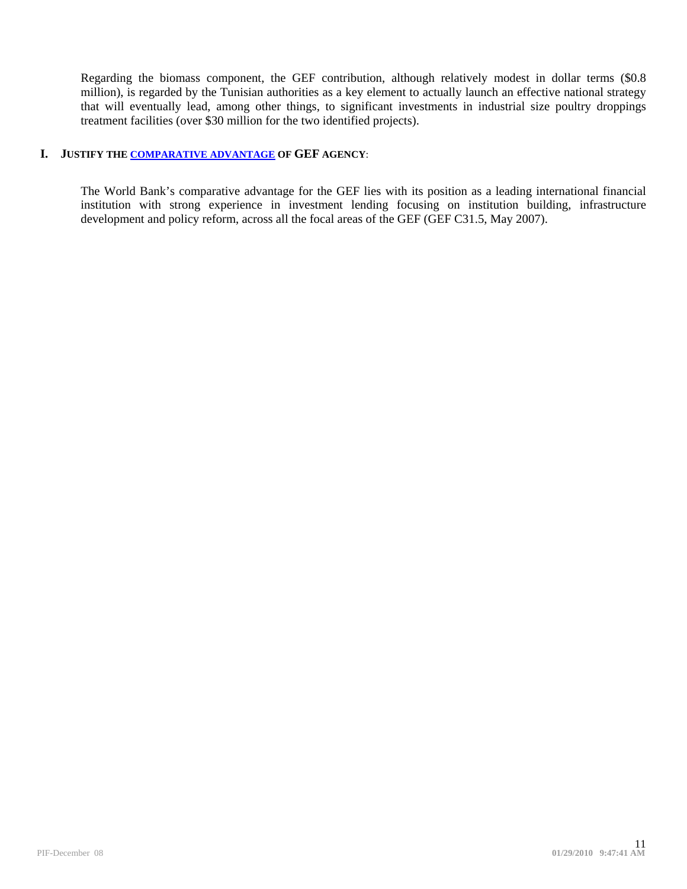Regarding the biomass component, the GEF contribution, although relatively modest in dollar terms (\$0.8 million), is regarded by the Tunisian authorities as a key element to actually launch an effective national strategy that will eventually lead, among other things, to significant investments in industrial size poultry droppings treatment facilities (over \$30 million for the two identified projects).

## **I. JUSTIFY THE COMPARATIVE ADVANTAGE OF GEF AGENCY**:

The World Bank's comparative advantage for the GEF lies with its position as a leading international financial institution with strong experience in investment lending focusing on institution building, infrastructure development and policy reform, across all the focal areas of the GEF (GEF C31.5, May 2007).